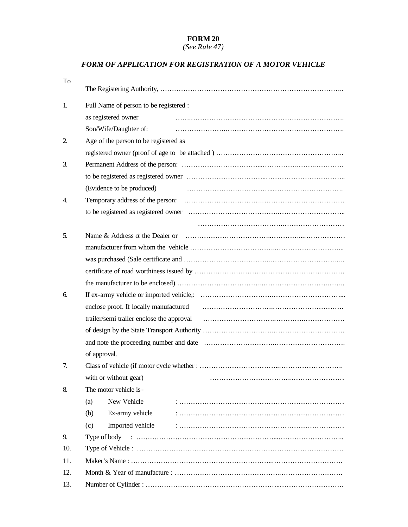## **FORM 20**

*(See Rule 47)* 

## *FORM OF APPLICATION FOR REGISTRATION OF A MOTOR VEHICLE*

| To  |                                                                                                                                                                                                                                |  |  |
|-----|--------------------------------------------------------------------------------------------------------------------------------------------------------------------------------------------------------------------------------|--|--|
| 1.  | Full Name of person to be registered :                                                                                                                                                                                         |  |  |
|     | as registered owner                                                                                                                                                                                                            |  |  |
|     | Son/Wife/Daughter of:                                                                                                                                                                                                          |  |  |
| 2.  | Age of the person to be registered as                                                                                                                                                                                          |  |  |
|     |                                                                                                                                                                                                                                |  |  |
| 3.  |                                                                                                                                                                                                                                |  |  |
|     |                                                                                                                                                                                                                                |  |  |
|     | (Evidence to be produced)                                                                                                                                                                                                      |  |  |
| 4.  |                                                                                                                                                                                                                                |  |  |
|     |                                                                                                                                                                                                                                |  |  |
|     |                                                                                                                                                                                                                                |  |  |
| 5.  | Name & Address of the Dealer or                                                                                                                                                                                                |  |  |
|     |                                                                                                                                                                                                                                |  |  |
|     |                                                                                                                                                                                                                                |  |  |
|     |                                                                                                                                                                                                                                |  |  |
|     |                                                                                                                                                                                                                                |  |  |
| 6.  |                                                                                                                                                                                                                                |  |  |
|     | enclose proof. If locally manufactured entitled and the state of the state of the state of the state of the state of the state of the state of the state of the state of the state of the state of the state of the state of t |  |  |
|     | trailer/semi trailer enclose the approval contained and the set of the approval contained and trailer set of the approval contained and the set of the set of the set of the set of the set of the set of the set of the set o |  |  |
|     |                                                                                                                                                                                                                                |  |  |
|     |                                                                                                                                                                                                                                |  |  |
|     | of approval.                                                                                                                                                                                                                   |  |  |
| 7.  |                                                                                                                                                                                                                                |  |  |
|     | with or without gear)                                                                                                                                                                                                          |  |  |
| 8.  | The motor vehicle is-                                                                                                                                                                                                          |  |  |
|     | New Vehicle<br>(a)                                                                                                                                                                                                             |  |  |
|     | Ex-army vehicle<br>(b)                                                                                                                                                                                                         |  |  |
|     | Imported vehicle<br>(c)                                                                                                                                                                                                        |  |  |
| 9.  |                                                                                                                                                                                                                                |  |  |
| 10. |                                                                                                                                                                                                                                |  |  |
| 11. |                                                                                                                                                                                                                                |  |  |
| 12. |                                                                                                                                                                                                                                |  |  |
| 13. |                                                                                                                                                                                                                                |  |  |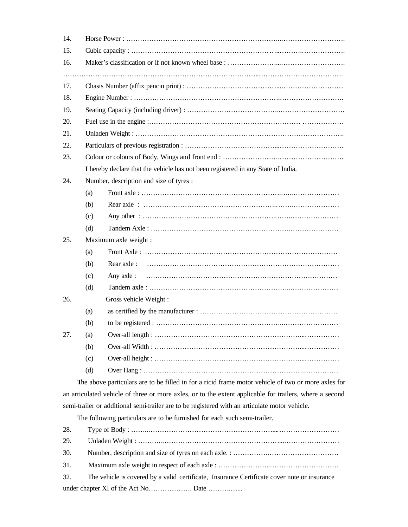| 14.                                                                       |     |                                                                                                         |  |  |  |  |
|---------------------------------------------------------------------------|-----|---------------------------------------------------------------------------------------------------------|--|--|--|--|
| 15.                                                                       |     |                                                                                                         |  |  |  |  |
| 16.                                                                       |     |                                                                                                         |  |  |  |  |
| 17.                                                                       |     |                                                                                                         |  |  |  |  |
| 18.                                                                       |     |                                                                                                         |  |  |  |  |
| 19.                                                                       |     |                                                                                                         |  |  |  |  |
| 20.                                                                       |     |                                                                                                         |  |  |  |  |
| 21.                                                                       |     |                                                                                                         |  |  |  |  |
| 22.                                                                       |     |                                                                                                         |  |  |  |  |
| 23.                                                                       |     |                                                                                                         |  |  |  |  |
|                                                                           |     | I hereby declare that the vehicle has not been registered in any State of India.                        |  |  |  |  |
| 24.                                                                       |     | Number, description and size of tyres :                                                                 |  |  |  |  |
|                                                                           | (a) |                                                                                                         |  |  |  |  |
|                                                                           | (b) |                                                                                                         |  |  |  |  |
|                                                                           | (c) |                                                                                                         |  |  |  |  |
|                                                                           | (d) |                                                                                                         |  |  |  |  |
| 25.                                                                       |     | Maximum axle weight :                                                                                   |  |  |  |  |
|                                                                           | (a) |                                                                                                         |  |  |  |  |
|                                                                           | (b) | Rear axle:                                                                                              |  |  |  |  |
|                                                                           | (c) | Any axle:                                                                                               |  |  |  |  |
|                                                                           | (d) |                                                                                                         |  |  |  |  |
| 26.                                                                       |     | Gross vehicle Weight:                                                                                   |  |  |  |  |
|                                                                           | (a) |                                                                                                         |  |  |  |  |
|                                                                           | (b) |                                                                                                         |  |  |  |  |
| 27.                                                                       | (a) |                                                                                                         |  |  |  |  |
|                                                                           | (b) |                                                                                                         |  |  |  |  |
|                                                                           | (c) |                                                                                                         |  |  |  |  |
|                                                                           | (d) |                                                                                                         |  |  |  |  |
|                                                                           |     | The above particulars are to be filled in for a ricid frame motor vehicle of two or more axles for      |  |  |  |  |
|                                                                           |     | an articulated vehicle of three or more axles, or to the extent applicable for trailers, where a second |  |  |  |  |
|                                                                           |     | semi-trailer or additional semi-trailer are to be registered with an articulate motor vehicle.          |  |  |  |  |
| The following particulars are to be furnished for each such semi-trailer. |     |                                                                                                         |  |  |  |  |
| 28.                                                                       |     |                                                                                                         |  |  |  |  |
| 29.                                                                       |     |                                                                                                         |  |  |  |  |
| 30.                                                                       |     |                                                                                                         |  |  |  |  |

- 31. Maximum axle weight in respect of each axle : ………………………………………………………………………………
- 32. The vehicle is covered by a valid certificate, Insurance Certificate cover note or insurance under chapter XI of the Act No………………. Date ……….…...